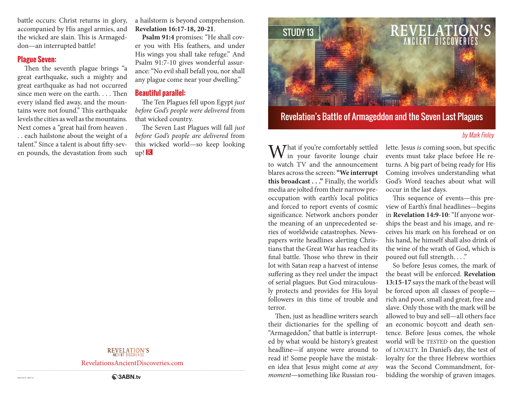battle occurs: Christ returns in glory, accompanied by His angel armies, and the wicked are slain. This is Armageddon—an interrupted battle!

#### **Plague Seven:**

Then the seventh plague brings "a great earthquake, such a mighty and great earthquake as had not occurred since men were on the earth. . . . Then every island fled away, and the mountains were not found." This earthquake levels the cities as well as the mountains. Next comes a "great hail from heaven . . . each hailstone about the weight of a talent." Since a talent is about fifty-seven pounds, the devastation from such a hailstorm is beyond comprehension. **Revelation 16:17-18, 20-21**.

**Psalm 91:4** promises: "He shall cover you with His feathers, and under His wings you shall take refuge." And Psalm 91:7-10 gives wonderful assurance: "No evil shall befall you, nor shall any plague come near your dwelling."

#### **Beautiful parallel:**

The Ten Plagues fell upon Egypt *just before God's people were delivered* from that wicked country.

The Seven Last Plagues will fall *just before God's people are delivered* from this wicked world—so keep looking  $up! R$ 



# Revelation's Battle of Armageddon and the Seven Last Plagues

#### by Mark Finley

**M**  $\overline{I}$  hat if you're comfortably settled in your favorite lounge chair to watch TV and the announcement blares across the screen: **"We interrupt this broadcast . . ."** Finally, the world's media are jolted from their narrow preoccupation with earth's local politics and forced to report events of cosmic significance. Network anchors ponder the meaning of an unprecedented series of worldwide catastrophes. Newspapers write headlines alerting Christians that the Great War has reached its final battle. Those who threw in their lot with Satan reap a harvest of intense suffering as they reel under the impact of serial plagues. But God miraculously protects and provides for His loyal followers in this time of trouble and terror.

Then, just as headline writers search their dictionaries for the spelling of "Armageddon," that battle is interrupted by what would be history's greatest headline—if anyone were around to read it! Some people have the mistaken idea that Jesus might come *at any moment*—something like Russian roulette. Jesus *is* coming soon, but specific events must take place before He returns. A big part of being ready for His Coming involves understanding what God's Word teaches about what will occur in the last days.

This sequence of events—this preview of Earth's final headlines—begins in **Revelation 14:9-10**: "If anyone worships the beast and his image, and receives his mark on his forehead or on his hand, he himself shall also drink of the wine of the wrath of God, which is poured out full strength. . . ."

So before Jesus comes, the mark of the beast will be enforced. **Revelation 13:15-17** says the mark of the beast will be forced upon all classes of people rich and poor, small and great, free and slave. Only those with the mark will be allowed to buy and sell—all others face an economic boycott and death sentence. Before Jesus comes, the whole world will be TESTED on the question of LOYALTY. In Daniel's day, the test of loyalty for the three Hebrew worthies was the Second Commandment, forbidding the worship of graven images.

RevelationsAncientDiscoveries.com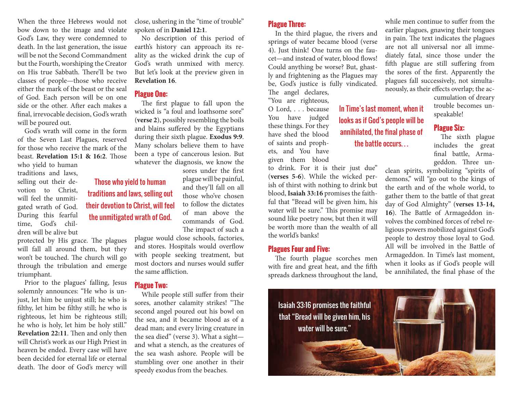When the three Hebrews would not bow down to the image and violate God's Law, they were condemned to death. In the last generation, the issue will be not the Second Commandment but the Fourth, worshiping the Creator on His true Sabbath. There'll be two classes of people—those who receive either the mark of the beast or the seal of God. Each person will be on one side or the other. After each makes a final, irrevocable decision, God's wrath will be poured out.

God's wrath will come in the form of the Seven Last Plagues, reserved for those who receive the mark of the beast. **Revelation 15:1 & 16:2**. Those

who yield to human traditions and laws, selling out their devotion to Christ, will feel the unmitigated wrath of God. During this fearful time, God's children will be alive but

protected by His grace. The plagues will fall all around them, but they won't be touched. The church will go through the tribulation and emerge triumphant.

Prior to the plagues' falling, Jesus solemnly announces: "He who is unjust, let him be unjust still; he who is filthy, let him be filthy still; he who is righteous, let him be righteous still; he who is holy, let him be holy still." **Revelation 22:11**. Then and only then will Christ's work as our High Priest in heaven be ended. Every case will have been decided for eternal life or eternal death. The door of God's mercy will

close, ushering in the "time of trouble" spoken of in **Daniel 12:1**.

No description of this period of earth's history can approach its reality as the wicked drink the cup of God's wrath unmixed with mercy. But let's look at the preview given in **Revelation 16**.

## **Plague One:**

Those who yield to human traditions and laws, selling out their devotion to Christ, will feel the unmitigated wrath of God.

The first plague to fall upon the wicked is "a foul and loathsome sore" (**verse 2**), possibly resembling the boils and blains suffered by the Egyptians during their sixth plague. **Exodus 9:9**. Many scholars believe them to have been a type of cancerous lesion. But whatever the diagnosis, we know the

> sores under the first plague will be painful, and they'll fall on all those who've chosen to follow the dictates of man above the commands of God. The impact of such a

plague would close schools, factories, and stores. Hospitals would overflow with people seeking treatment, but most doctors and nurses would suffer the same affliction.

#### **Plague Two:**

While people still suffer from their sores, another calamity strikes! "The second angel poured out his bowl on the sea, and it became blood as of a dead man; and every living creature in the sea died" (verse 3). What a sight and what a stench, as the creatures of the sea wash ashore. People will be stumbling over one another in their speedy exodus from the beaches.

## **Plague Three:**

In the third plague, the rivers and springs of water became blood (verse 4). Just think! One turns on the faucet—and instead of water, blood flows! Could anything be worse? But, ghastly and frightening as the Plagues may be, God's justice is fully vindicated. The angel declares,

"You are righteous, O Lord, . . . because You have judged these things. For they have shed the blood of saints and prophets, and You have given them blood

to drink. For it is their just due" (**verses 5-6**). While the wicked perish of thirst with nothing to drink but blood, **Isaiah 33:16** promises the faithful that "Bread will be given him, his water will be sure." This promise may sound like poetry now, but then it will be worth more than the wealth of all the world's banks!

#### **Plagues Four and Five:**

The fourth plague scorches men with fire and great heat, and the fifth spreads darkness throughout the land,

while men continue to suffer from the earlier plagues, gnawing their tongues in pain. The text indicates the plagues are not all universal nor all immediately fatal, since those under the fifth plague are still suffering from the sores of the first. Apparently the plagues fall successively, not simultaneously, as their effects overlap; the ac-

> cumulation of dreary trouble becomes unspeakable!

#### **Plague Six:**

The sixth plague includes the great final battle, Armageddon. Three un-

clean spirits, symbolizing "spirits of demons," will "go out to the kings of the earth and of the whole world, to gather them to the battle of that great day of God Almighty" (**verses 13-14, 16**). The Battle of Armageddon involves the combined forces of rebel religious powers mobilized against God's people to destroy those loyal to God. All will be involved in the Battle of Armageddon. In Time's last moment, when it looks as if God's people will be annihilated, the final phase of the



In Time's last moment, when it looks as if God's people will be annihilated, the final phase of the battle occurs. . .